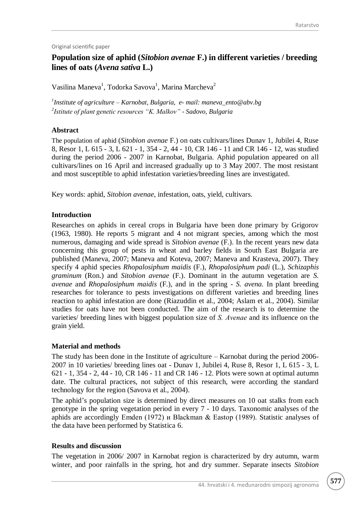Original scientific paper

# **Population size of aphid (***Sitobion avenae* **F.) in different varieties / breeding lines of oats (***Avena sativa* **L.)**

Vasilina Maneva<sup>1</sup>, Todorka Savova<sup>1</sup>, Marina Marcheva<sup>2</sup>

*1 Institute of agriculture – Karnobat, Bulgaria, e- mail: maneva\_ento@abv.bg 2 Istitute of plant genetic resources "K. Malkov" - Sadovo, Bulgaria*

# **Abstract**

The population of aphid (*Sitobion avenae* F.) on oats cultivars/lines Dunav 1, Jubilei 4, Ruse 8, Resor 1, L 615 - 3, L 621 - 1, 354 - 2, 44 - 10, CR 146 - 11 and CR 146 - 12, was studied during the period 2006 - 2007 in Karnobat, Bulgaria. Aphid population appeared on all cultivars/lines on 16 April and increased gradually up to 3 May 2007. The most resistant and most susceptible to aphid infestation varieties/breeding lines are investigated.

Key words: aphid, *Sitobion avenae*, infestation*,* oats, yield, cultivars.

#### **Introduction**

Researches on aphids in cereal crops in Bulgaria have been done primary by Grigorov (1963, 1980). He reports 5 migrant and 4 not migrant species, among which the most numerous, damaging and wide spread is *Sitobion avenae* (F.). In the recent years new data concerning this group of pests in wheat and barley fields in South East Bulgaria are published (Maneva, 2007; Maneva and Koteva, 2007; Maneva and Krasteva, 2007). They specify 4 aphid species *Rhopalosiphum maidis* (F.), *Rhopalosiphum padi* (L.), *Schizaphis graminum* (Ron.) and *Sitobion avenae* (F.). Dominant in the autumn vegetation are *S. avenae* and *Rhopalosiphum maidis* (F.), and in the spring - *S. avena.* In plant breeding researches for tolerance to pests investigations on different varieties and breeding lines reaction to aphid infestation are done (Riazuddin et al., 2004; Aslam et al., 2004). Similar studies for oats have not been conducted. The aim of the research is to determine the varieties/ breeding lines with biggest population size of *S. Аvenae* and its influence on the grain yield.

# **Material and methods**

The study has been done in the Institute of agriculture – Karnobat during the period 2006- 2007 in 10 varieties/ breeding lines oat - Dunav 1, Jubilei 4, Ruse 8, Resor 1, L 615 - 3, L 621 - 1, 354 - 2, 44 - 10, CR 146 - 11 and CR 146 - 12. Plots were sown at optimal autumn date. The cultural practices, not subject of this research, were according the standard technology for the region (Savova et al., 2004).

The aphid's population size is determined by direct measures on 10 oat stalks from each genotype in the spring vegetation period in every 7 - 10 days. Taxonomic analyses of the aphids are accordingly Emden (1972) и Blackman & Eastop (1989). Statistic analyses of the data have been performed by Statistica 6.

# **Results and discussion**

The vegetation in 2006/ 2007 in Karnobat region is characterized by dry autumn, warm winter, and poor rainfalls in the spring, hot and dry summer. Separate insects *Sitobion*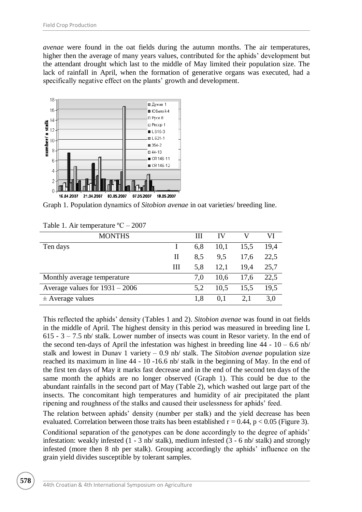*avenae* were found in the oat fields during the autumn months. The air temperatures, higher then the average of many years values, contributed for the aphids' development but the attendant drought which last to the middle of May limited their population size. The lack of rainfall in April, when the formation of generative organs was executed, had a specifically negative effect on the plants' growth and development.



Graph 1. Population dynamics of *Sitobion avenae* in oat varieties/ breeding line.

| <b>MONTHS</b>                    |   | Ш   | IV   |      | VI   |
|----------------------------------|---|-----|------|------|------|
| Ten days                         |   | 6,8 | 10,1 | 15,5 | 19,4 |
|                                  | Н | 8.5 | 9,5  | 17,6 | 22,5 |
|                                  | Ш | 5.8 | 12,1 | 19.4 | 25,7 |
| Monthly average temperature      |   | 7.0 | 10.6 | 17,6 | 22,5 |
| Average values for $1931 - 2006$ |   | 5,2 | 10.5 | 15,5 | 19.5 |
| $\pm$ Average values             |   | 1.8 | 0.1  | 2,1  | 3,0  |

Table 1. Air temperature ºС – 2007

This reflected the aphids' density (Tables 1 and 2). *Sitobion avenae* was found in oat fields in the middle of April. The highest density in this period was measured in breeding line L  $615 - 3 - 7.5$  nb/ stalk. Lower number of insects was count in Resor variety. In the end of the second ten-days of April the infestation was highest in breeding line  $44 - 10 - 6.6$  nb/ stalk and lowest in Dunav 1 variety – 0.9 nb/ stalk. The *Sitobion avenae* population size reached its maximum in line 44 - 10 -16.6 nb/ stalk in the beginning of May. In the end of the first ten days of May it marks fast decrease and in the end of the second ten days of the same month the aphids are no longer observed (Graph 1). This could be due to the abundant rainfalls in the second part of May (Table 2), which washed out large part of the insects. The concomitant high temperatures and humidity of air precipitated the plant ripening and roughness of the stalks and caused their uselessness for aphids' feed.

The relation between aphids' density (number per stalk) and the yield decrease has been evaluated. Correlation between those traits has been established  $r = 0.44$ ,  $p < 0.05$  (Figure 3).

Conditional separation of the genotypes can be done accordingly to the degree of aphids' infestation: weakly infested (1 - 3 nb/ stalk), medium infested (3 - 6 nb/ stalk) and strongly infested (more then 8 nb per stalk). Grouping accordingly the aphids' influence on the grain yield divides susceptible by tolerant samples.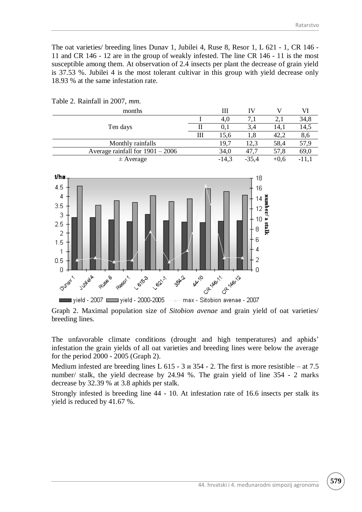The oat varieties/ breeding lines Dunav 1, Jubilei 4, Ruse 8, Resor 1, L 621 - 1, CR 146 - 11 and CR 146 - 12 are in the group of weakly infested. The line CR 146 - 11 is the most susceptible among them. At observation of 2.4 insects per plant the decrease of grain yield is 37.53 %. Jubilei 4 is the most tolerant cultivar in this group with yield decrease only 18.93 % at the same infestation rate.

| months                             |   | Ш       |         |        |             |
|------------------------------------|---|---------|---------|--------|-------------|
| Ten days                           |   | 4,0     |         |        | 34,8        |
|                                    |   | 0.1     | 3.4     | 14.1   | 14,5        |
|                                    | Ш | 15,6    | 1,8     | 42.2   | $\delta$ ,0 |
| Monthly rainfalls                  |   | 19,7    | 12.3    | 58,4   | 57,9        |
| Average rainfall for $1901 - 2006$ |   | 34,0    | 47.7    | 57,8   | 69,0        |
| $\pm$ Average                      |   | $-14,3$ | $-35,4$ | $+0.6$ | -11.        |

Table 2. Rainfall in 2007, *mm.*



Graph 2. Maximal population size of *Sitobion avenae* and grain yield of oat varieties/ breeding lines.

The unfavorable climate conditions (drought and high temperatures) and aphids' infestation the grain yields of all oat varieties and breeding lines were below the average for the period 2000 - 2005 (Graph 2).

Medium infested are breeding lines L  $615 - 3$   $\mu$  354 - 2. The first is more resistible – at 7.5 number/ stalk, the yield decrease by 24.94 %. The grain yield of line 354 - 2 marks decrease by 32.39 % at 3.8 aphids per stalk.

Strongly infested is breeding line 44 - 10. At infestation rate of 16.6 insects per stalk its yield is reduced by 41.67 %.